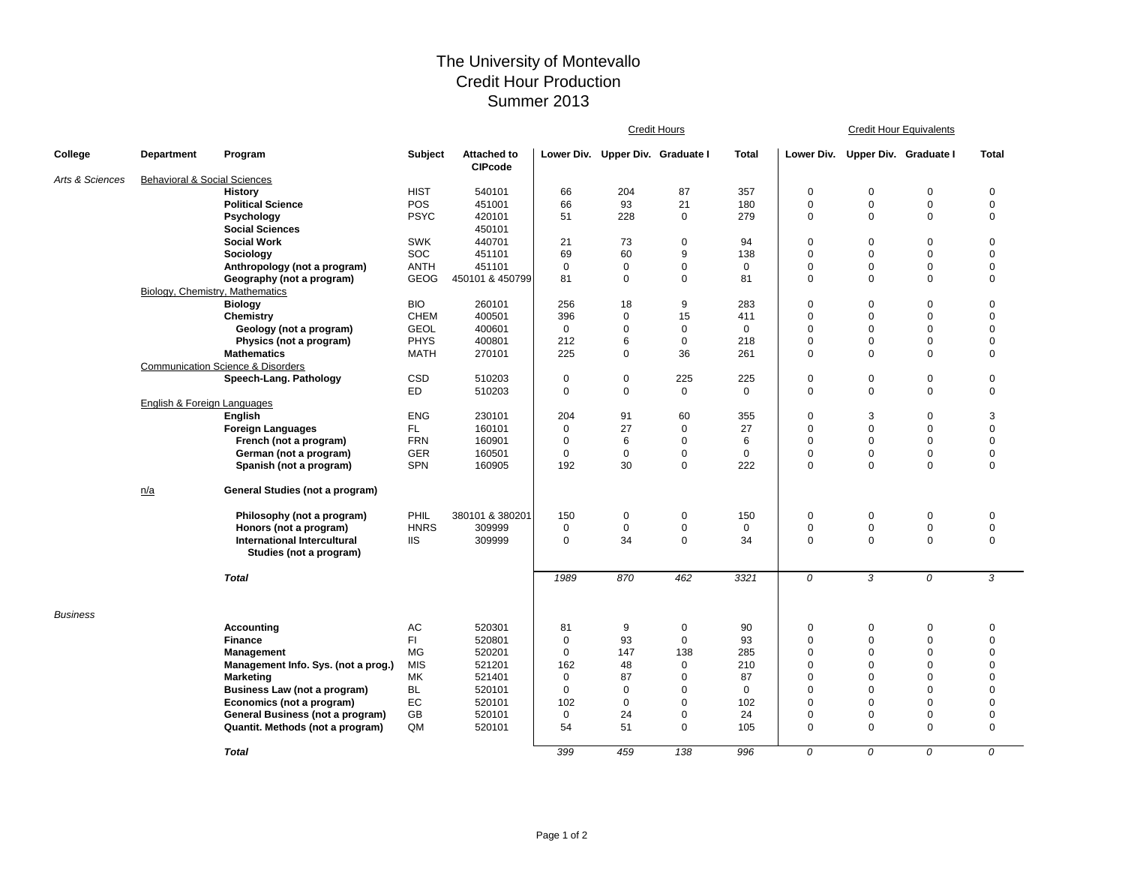## The University of Montevallo Credit Hour Production Summer 2013

|                 |                                         |                                              |             |                                      | <b>Credit Hours</b> |                                  |             |              | <b>Credit Hour Equivalents</b> |                                  |             |                |  |
|-----------------|-----------------------------------------|----------------------------------------------|-------------|--------------------------------------|---------------------|----------------------------------|-------------|--------------|--------------------------------|----------------------------------|-------------|----------------|--|
| College         | <b>Department</b>                       | Program                                      | Subject     | <b>Attached to</b><br><b>CIPcode</b> |                     | Lower Div. Upper Div. Graduate I |             | <b>Total</b> |                                | Lower Div. Upper Div. Graduate I |             | <b>Total</b>   |  |
| Arts & Sciences | <b>Behavioral &amp; Social Sciences</b> |                                              |             |                                      |                     |                                  |             |              |                                |                                  |             |                |  |
|                 |                                         | <b>History</b>                               | <b>HIST</b> | 540101                               | 66                  | 204                              | 87          | 357          | $\mathsf 0$                    | $\Omega$                         | $\pmb{0}$   | $\mathbf 0$    |  |
|                 |                                         | <b>Political Science</b>                     | POS         | 451001                               | 66                  | 93                               | 21          | 180          | $\mathbf 0$                    | $\mathbf 0$                      | $\pmb{0}$   | $\pmb{0}$      |  |
|                 |                                         | Psychology                                   | <b>PSYC</b> | 420101                               | 51                  | 228                              | $\mathbf 0$ | 279          | $\mathbf 0$                    | $\mathbf 0$                      | $\mathbf 0$ | $\pmb{0}$      |  |
|                 |                                         | <b>Social Sciences</b>                       |             | 450101                               |                     |                                  |             |              |                                |                                  |             |                |  |
|                 |                                         | <b>Social Work</b>                           | <b>SWK</b>  | 440701                               | 21                  | 73                               | $\mathbf 0$ | 94           | $\mathbf 0$                    | $\mathbf 0$                      | $\mathbf 0$ | $\mathbf 0$    |  |
|                 |                                         | Sociology                                    | <b>SOC</b>  | 451101                               | 69                  | 60                               | 9           | 138          | $\mathbf 0$                    | $\mathbf 0$                      | $\mathbf 0$ | $\mathbf 0$    |  |
|                 |                                         | Anthropology (not a program)                 | <b>ANTH</b> | 451101                               | $\mathbf 0$         | 0                                | $\mathbf 0$ | $\mathbf 0$  | $\mathbf 0$                    | $\mathbf 0$                      | $\mathbf 0$ | $\mathbf 0$    |  |
|                 |                                         | Geography (not a program)                    | <b>GEOG</b> | 450101 & 450799                      | 81                  | $\mathbf 0$                      | $\mathbf 0$ | 81           | $\mathbf 0$                    | $\mathbf 0$                      | $\mathbf 0$ | $\mathbf 0$    |  |
|                 | Biology, Chemistry, Mathematics         |                                              |             |                                      |                     |                                  |             |              |                                |                                  |             |                |  |
|                 |                                         | <b>Biology</b>                               | <b>BIO</b>  | 260101                               | 256                 | 18                               | 9           | 283          | $\mathbf 0$                    | $\mathbf 0$                      | $\pmb{0}$   | $\pmb{0}$      |  |
|                 |                                         | Chemistry                                    | <b>CHEM</b> | 400501                               | 396                 | 0                                | 15          | 411          | $\mathsf 0$                    | $\mathbf 0$                      | $\mathbf 0$ | $\mathbf 0$    |  |
|                 |                                         | Geology (not a program)                      | <b>GEOL</b> | 400601                               | $\mathbf 0$         | $\mathbf 0$                      | $\mathbf 0$ | $\mathbf 0$  | $\mathbf 0$                    | $\mathbf 0$                      | $\pmb{0}$   | $\pmb{0}$      |  |
|                 |                                         | Physics (not a program)                      | <b>PHYS</b> | 400801                               | 212                 | 6                                | $\mathbf 0$ | 218          | $\mathbf 0$                    | $\mathbf 0$                      | $\pmb{0}$   | $\mathbf 0$    |  |
|                 |                                         | <b>Mathematics</b>                           | <b>MATH</b> | 270101                               | 225                 | $\Omega$                         | 36          | 261          | $\mathbf 0$                    | $\Omega$                         | $\mathbf 0$ | $\mathbf 0$    |  |
|                 |                                         | <b>Communication Science &amp; Disorders</b> |             |                                      |                     |                                  |             |              |                                |                                  |             |                |  |
|                 |                                         | Speech-Lang. Pathology                       | CSD         | 510203                               | $\mathbf 0$         | 0                                | 225         | 225          | $\mathbf 0$                    | $\mathbf 0$                      | $\pmb{0}$   | $\pmb{0}$      |  |
|                 |                                         |                                              | ED          | 510203                               | $\mathbf 0$         | 0                                | $\mathbf 0$ | $\mathbf 0$  | $\mathbf 0$                    | $\mathbf 0$                      | $\mathbf 0$ | $\mathbf 0$    |  |
|                 | English & Foreign Languages             |                                              |             |                                      |                     |                                  |             |              |                                |                                  |             |                |  |
|                 |                                         | <b>English</b>                               | <b>ENG</b>  | 230101                               | 204                 | 91                               | 60          | 355          | $\mathbf 0$                    | 3                                | $\mathbf 0$ | 3              |  |
|                 |                                         | <b>Foreign Languages</b>                     | FL.         | 160101                               | $\mathbf 0$         | 27                               | $\mathbf 0$ | 27           | $\mathbf 0$                    | $\mathbf 0$                      | $\mathbf 0$ | $\pmb{0}$      |  |
|                 |                                         | French (not a program)                       | <b>FRN</b>  | 160901                               | $\mathbf 0$         | 6                                | $\mathbf 0$ | 6            | $\mathbf 0$                    | $\mathbf 0$                      | $\pmb{0}$   | $\pmb{0}$      |  |
|                 |                                         | German (not a program)                       | GER         | 160501                               | $\pmb{0}$           | $\mathbf 0$                      | $\mathbf 0$ | $\mathbf 0$  | $\mathsf 0$                    | $\mathbf 0$                      | $\pmb{0}$   | $\mathbf 0$    |  |
|                 |                                         | Spanish (not a program)                      | <b>SPN</b>  | 160905                               | 192                 | 30                               | $\mathbf 0$ | 222          | $\mathbf 0$                    | $\mathbf 0$                      | $\mathbf 0$ | $\mathbf 0$    |  |
|                 | n/a                                     | General Studies (not a program)              |             |                                      |                     |                                  |             |              |                                |                                  |             |                |  |
|                 |                                         | Philosophy (not a program)                   | PHIL        | 380101 & 380201                      | 150                 | 0                                | $\mathbf 0$ | 150          | $\mathbf 0$                    | 0                                | $\pmb{0}$   | $\pmb{0}$      |  |
|                 |                                         | Honors (not a program)                       | <b>HNRS</b> | 309999                               | $\mathbf 0$         | $\mathbf 0$                      | $\pmb{0}$   | $\mathbf 0$  | $\mathbf 0$                    | $\mathbf 0$                      | $\pmb{0}$   | $\mathbf 0$    |  |
|                 |                                         | International Intercultural                  | <b>IIS</b>  | 309999                               | $\mathbf 0$         | 34                               | $\mathbf 0$ | 34           | $\mathbf 0$                    | $\Omega$                         | $\mathbf 0$ | $\mathbf 0$    |  |
|                 |                                         | Studies (not a program)                      |             |                                      |                     |                                  |             |              |                                |                                  |             |                |  |
|                 |                                         | <b>Total</b>                                 |             |                                      | 1989                | 870                              | 462         | 3321         | 0                              | 3                                | 0           | 3              |  |
| <b>Business</b> |                                         |                                              |             |                                      |                     |                                  |             |              |                                |                                  |             |                |  |
|                 |                                         | <b>Accounting</b>                            | AC          | 520301                               | 81                  | 9                                | $\mathbf 0$ | 90           | $\mathbf 0$                    | 0                                | 0           | 0              |  |
|                 |                                         | <b>Finance</b>                               | FI.         | 520801                               | $\mathbf 0$         | 93                               | $\mathbf 0$ | 93           | $\mathbf 0$                    | $\mathbf 0$                      | $\mathbf 0$ | $\mathbf 0$    |  |
|                 |                                         | Management                                   | MG          | 520201                               | $\mathbf 0$         | 147                              | 138         | 285          | $\mathbf 0$                    | $\mathbf 0$                      | $\mathbf 0$ | $\Omega$       |  |
|                 |                                         | Management Info. Sys. (not a prog.)          | <b>MIS</b>  | 521201                               | 162                 | 48                               | $\mathbf 0$ | 210          | $\mathbf 0$                    | $\mathbf 0$                      | $\mathbf 0$ | $\mathbf 0$    |  |
|                 |                                         | <b>Marketing</b>                             | МK          | 521401                               | $\mathbf 0$         | 87                               | $\mathbf 0$ | 87           | $\mathbf 0$                    | $\Omega$                         | $\mathbf 0$ | $\mathbf 0$    |  |
|                 |                                         | <b>Business Law (not a program)</b>          | <b>BL</b>   | 520101                               | $\mathbf 0$         | $\mathbf 0$                      | $\mathbf 0$ | $\mathbf 0$  | $\mathbf 0$                    | $\Omega$                         | $\pmb{0}$   | $\overline{0}$ |  |
|                 |                                         | Economics (not a program)                    | EC          | 520101                               | 102                 | $\Omega$                         | $\mathbf 0$ | 102          | $\mathbf 0$                    | $\Omega$                         | $\mathbf 0$ | $\mathbf 0$    |  |
|                 |                                         | General Business (not a program)             | GB          | 520101                               | $\mathbf 0$         | 24                               | $\mathbf 0$ | 24           | $\mathbf 0$                    | $\mathbf 0$                      | $\pmb{0}$   | $\mathbf 0$    |  |
|                 |                                         | Quantit. Methods (not a program)             | QM          | 520101                               | 54                  | 51                               | $\mathbf 0$ | 105          | $\mathbf 0$                    | $\Omega$                         | $\mathbf 0$ | $\mathbf 0$    |  |
|                 |                                         | <b>Total</b>                                 |             |                                      | 399                 | 459                              | 138         | 996          | 0                              | 0                                | 0           | 0              |  |